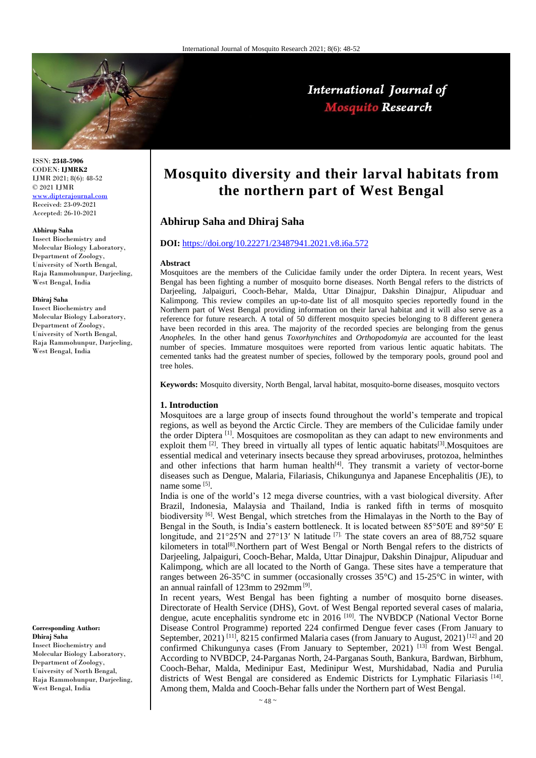

ISSN: **2348-5906** CODEN: **IJMRK2** IJMR 2021; 8(6): 48-52 © 2021 IJMR [www.dipterajournal.com](file://server/d/Mosquito/Issue/8%20Volume/www.dipterajournal.com)

Received: 23-09-2021 Accepted: 26-10-2021

#### **Abhirup Saha**

Insect Biochemistry and Molecular Biology Laboratory, Department of Zoology, University of North Bengal, Raja Rammohunpur, Darjeeling, West Bengal, India

### **Dhiraj Saha**

Insect Biochemistry and Molecular Biology Laboratory, Department of Zoology, University of North Bengal, Raja Rammohunpur, Darjeeling, West Bengal, India

#### **Corresponding Author: Dhiraj Saha**

Insect Biochemistry and Molecular Biology Laboratory, Department of Zoology, University of North Bengal, Raja Rammohunpur, Darjeeling, West Bengal, India

# **Mosquito diversity and their larval habitats from the northern part of West Bengal**

International Journal of **Mosquito Research** 

# **Abhirup Saha and Dhiraj Saha**

## **DOI:** <https://doi.org/10.22271/23487941.2021.v8.i6a.572>

#### **Abstract**

Mosquitoes are the members of the Culicidae family under the order Diptera. In recent years, West Bengal has been fighting a number of mosquito borne diseases. North Bengal refers to the districts of Darjeeling, Jalpaiguri, Cooch-Behar, Malda, Uttar Dinajpur, Dakshin Dinajpur, Alipuduar and Kalimpong. This review compiles an up-to-date list of all mosquito species reportedly found in the Northern part of West Bengal providing information on their larval habitat and it will also serve as a reference for future research. A total of 50 different mosquito species belonging to 8 different genera have been recorded in this area. The majority of the recorded species are belonging from the genus *Anopheles.* In the other hand genus *Toxorhynchites* and *Orthopodomyia* are accounted for the least number of species. Immature mosquitoes were reported from various lentic aquatic habitats. The cemented tanks had the greatest number of species, followed by the temporary pools, ground pool and tree holes.

**Keywords:** Mosquito diversity, North Bengal, larval habitat, mosquito-borne diseases, mosquito vectors

#### **1. Introduction**

Mosquitoes are a large group of insects found throughout the world's temperate and tropical regions, as well as beyond the Arctic Circle. They are members of the Culicidae family under the order Diptera <sup>[1]</sup>. Mosquitoes are cosmopolitan as they can adapt to new environments and exploit them  $[2]$ . They breed in virtually all types of lentic aquatic habitats  $[3]$ . Mosquitoes are essential medical and veterinary insects because they spread arboviruses, protozoa, helminthes and other infections that harm human health $[4]$ . They transmit a variety of vector-borne diseases such as Dengue, Malaria, Filariasis, Chikungunya and Japanese Encephalitis (JE), to name some [5].

India is one of the world's 12 mega diverse countries, with a vast biological diversity. After Brazil, Indonesia, Malaysia and Thailand, India is ranked fifth in terms of mosquito biodiversity <sup>[6]</sup>. West Bengal, which stretches from the Himalayas in the North to the Bay of Bengal in the South, is India's eastern bottleneck. It is located between 85°50′E and 89°50′ E longitude, and 21°25′N and 27°13′ N latitude <sup>[7].</sup> The state covers an area of 88,752 square kilometers in total<sup>[8]</sup>.Northern part of West Bengal or North Bengal refers to the districts of Darjeeling, Jalpaiguri, Cooch-Behar, Malda, Uttar Dinajpur, Dakshin Dinajpur, Alipuduar and Kalimpong, which are all located to the North of Ganga. These sites have a temperature that ranges between 26-35°C in summer (occasionally crosses 35°C) and 15-25°C in winter, with an annual rainfall of 123mm to 292mm<sup>[9]</sup>.

In recent years, West Bengal has been fighting a number of mosquito borne diseases. Directorate of Health Service (DHS), Govt. of West Bengal reported several cases of malaria, dengue, acute encephalitis syndrome etc in 2016<sup>[10]</sup>. The NVBDCP (National Vector Borne Disease Control Programme) reported 224 confirmed Dengue fever cases (From January to September, 2021)<sup>[11]</sup>, 8215 confirmed Malaria cases (from January to August, 2021)<sup>[12]</sup> and 20 confirmed Chikungunya cases (From January to September, 2021)<sup>[13]</sup> from West Bengal. According to NVBDCP, 24-Parganas North, 24-Parganas South, Bankura, Bardwan, Birbhum, Cooch-Behar, Malda, Medinipur East, Medinipur West, Murshidabad, Nadia and Purulia districts of West Bengal are considered as Endemic Districts for Lymphatic Filariasis<sup>[14]</sup>. Among them, Malda and Cooch-Behar falls under the Northern part of West Bengal.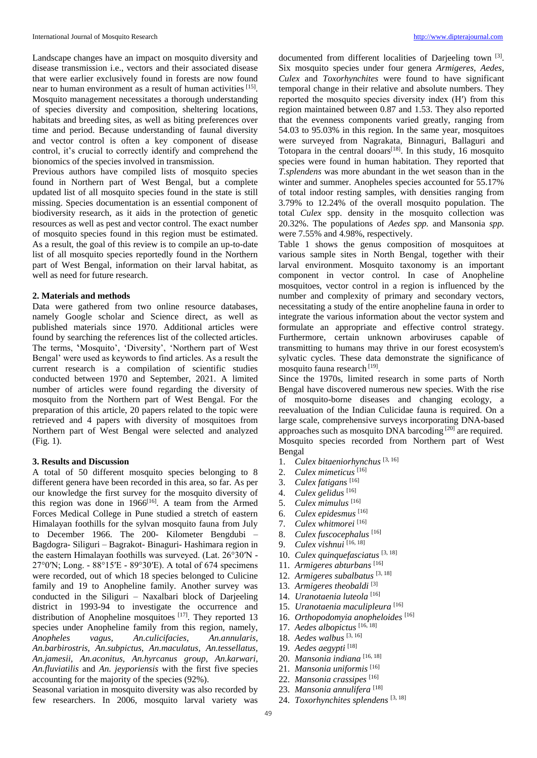Landscape changes have an impact on mosquito diversity and disease transmission i.e., vectors and their associated disease that were earlier exclusively found in forests are now found near to human environment as a result of human activities [15]. Mosquito management necessitates a thorough understanding of species diversity and composition, sheltering locations, habitats and breeding sites, as well as biting preferences over time and period. Because understanding of faunal diversity and vector control is often a key component of disease control, it's crucial to correctly identify and comprehend the bionomics of the species involved in transmission.

Previous authors have compiled lists of mosquito species found in Northern part of West Bengal, but a complete updated list of all mosquito species found in the state is still missing. Species documentation is an essential component of biodiversity research, as it aids in the protection of genetic resources as well as pest and vector control. The exact number of mosquito species found in this region must be estimated. As a result, the goal of this review is to compile an up-to-date list of all mosquito species reportedly found in the Northern part of West Bengal, information on their larval habitat, as well as need for future research.

## **2. Materials and methods**

Data were gathered from two online resource databases, namely Google scholar and Science direct, as well as published materials since 1970. Additional articles were found by searching the references list of the collected articles. The terms, ́'Mosquito', 'Diversity', 'Northern part of West Bengal' were used as keywords to find articles. As a result the current research is a compilation of scientific studies conducted between 1970 and September, 2021. A limited number of articles were found regarding the diversity of mosquito from the Northern part of West Bengal. For the preparation of this article, 20 papers related to the topic were retrieved and 4 papers with diversity of mosquitoes from Northern part of West Bengal were selected and analyzed (Fig. 1).

## **3. Results and Discussion**

A total of 50 different mosquito species belonging to 8 different genera have been recorded in this area, so far. As per our knowledge the first survey for the mosquito diversity of this region was done in  $1966$ <sup>[16]</sup>. A team from the Armed Forces Medical College in Pune studied a stretch of eastern Himalayan foothills for the sylvan mosquito fauna from July to December 1966. The 200- Kilometer Bengdubi – Bagdogra- Siliguri – Bagrakot- Binaguri- Hashimara region in the eastern Himalayan foothills was surveyed. (Lat. 26°30′N - 27°0′N; Long. - 88°15′E - 89°30′E). A total of 674 specimens were recorded, out of which 18 species belonged to Culicine family and 19 to Anopheline family. Another survey was conducted in the Siliguri – Naxalbari block of Darjeeling district in 1993-94 to investigate the occurrence and distribution of Anopheline mosquitoes  $[17]$ . They reported 13 species under Anopheline family from this region, namely, *Anopheles vagus, An.culicifacies, An.annularis, An.barbirostris, An.subpictus, An.maculatus, An.tessellatus, An.jamesii, An.aconitus, An.hyrcanus group, An.karwari, An.fluviatilis* and *An. jeyporiensis* with the first five species accounting for the majority of the species (92%).

Seasonal variation in mosquito diversity was also recorded by few researchers. In 2006, mosquito larval variety was

documented from different localities of Darjeeling town [3]. Six mosquito species under four genera *Armigeres, Aedes, Culex* and *Toxorhynchites* were found to have significant temporal change in their relative and absolute numbers. They reported the mosquito species diversity index (H′) from this region maintained between 0.87 and 1.53. They also reported that the evenness components varied greatly, ranging from 54.03 to 95.03% in this region. In the same year, mosquitoes were surveyed from Nagrakata, Binnaguri, Ballaguri and Totopara in the central dooars $[18]$ . In this study, 16 mosquito species were found in human habitation. They reported that *T.splendens* was more abundant in the wet season than in the winter and summer. Anopheles species accounted for 55.17% of total indoor resting samples, with densities ranging from 3.79% to 12.24% of the overall mosquito population. The total *Culex* spp. density in the mosquito collection was 20.32%. The populations of *Aedes spp.* and Mansonia *spp.*  were 7.55% and 4.98%, respectively.

Table 1 shows the genus composition of mosquitoes at various sample sites in North Bengal, together with their larval environment. Mosquito taxonomy is an important component in vector control. In case of Anopheline mosquitoes, vector control in a region is influenced by the number and complexity of primary and secondary vectors, necessitating a study of the entire anopheline fauna in order to integrate the various information about the vector system and formulate an appropriate and effective control strategy. Furthermore, certain unknown arboviruses capable of transmitting to humans may thrive in our forest ecosystem's sylvatic cycles. These data demonstrate the significance of mosquito fauna research [19].

Since the 1970s, limited research in some parts of North Bengal have discovered numerous new species. With the rise of mosquito-borne diseases and changing ecology, a reevaluation of the Indian Culicidae fauna is required. On a large scale, comprehensive surveys incorporating DNA-based approaches such as mosquito DNA barcoding [20] are required. Mosquito species recorded from Northern part of West Bengal

- 1. *Culex bitaeniorhynchus* [3, 16]
- 2. *Culex mimeticus* [16]
- 3. *Culex fatigans* [16]
- 4. *Culex gelidus* [16]
- 5. *Culex mimulus* [16]
- 6. *Culex epidesmus* [16]
- 7. *Culex whitmorei* [16]
- 8. *Culex fuscocephalus* [16]
- 9. *Culex vishnui* [16, 18]
- 10. *Culex quinquefasciatus* [3, 18]
- 11. *Armigeres abturbans* [16]
- 12. *Armigeres subalbatus* [3, 18]
- 13. *Armigeres theobaldi* [3]
- 14. *Uranotaenia luteola* [16]
- 
- 15. *Uranotaenia maculipleura* [16] 16. *Orthopodomyia anopheloides* [16]
- 17. *Aedes albopictus* [16, 18]
- 18. *Aedes walbus* [3, 16]
- 19. *Aedes aegypti* [18]
- 20. *Mansonia indiana* [16, 18]
- 21. *Mansonia uniformis* [16]
- 22. *Mansonia crassipes* [16]
- 23. *Mansonia annulifera* [18]
- 24. *Toxorhynchites splendens* [3, 18]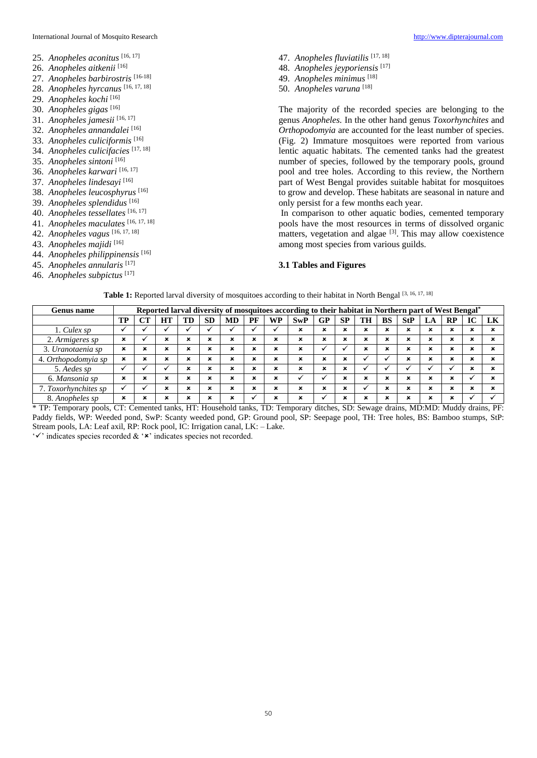## International Journal of Mosquito Research [http://www.dipterajournal.com](http://www.dipterajournal.com/)

- 25. *Anopheles aconitus* [16, 17]
- 26. *Anopheles aitkenii* [16]
- 27. *Anopheles barbirostris* [16-18]
- 28. *Anopheles hyrcanus* [16, 17, 18]
- 29. *Anopheles kochi* [16]
- 30. *Anopheles gigas* [16]
- 31. *Anopheles jamesii* [16, 17]
- 32. *Anopheles annandalei* [16]
- 33. *Anopheles culiciformis* [16]
- 34. *Anopheles culicifacies* [17, 18]
- 35. *Anopheles sintoni* [16]
- 36. *Anopheles karwari* [16, 17]
- 37. *Anopheles lindesayi* [16]
- 38. *Anopheles leucosphyrus* [16]
- 39. *Anopheles splendidus* [16]
- 
- 40. *Anopheles tessellates* [16, 17]
- 41. *Anopheles maculates* [16, 17, 18]
- 42. *Anopheles vagus* [16, 17, 18]
- 43. *Anopheles majidi* [16]
- 44. *Anopheles philippinensis* [16]
- 45. *Anopheles annularis* [17]
- 46. *Anopheles subpictus* [17]
- 47. *Anopheles fluviatilis* [17, 18]
- 48. *Anopheles jeyporiensis* [17]
- 49. *Anopheles minimus* [18]
- 50. *Anopheles varuna* [18]

The majority of the recorded species are belonging to the genus *Anopheles.* In the other hand genus *Toxorhynchites* and *Orthopodomyia* are accounted for the least number of species. (Fig. 2) Immature mosquitoes were reported from various lentic aquatic habitats. The cemented tanks had the greatest number of species, followed by the temporary pools, ground pool and tree holes. According to this review, the Northern part of West Bengal provides suitable habitat for mosquitoes to grow and develop. These habitats are seasonal in nature and only persist for a few months each year.

In comparison to other aquatic bodies, cemented temporary pools have the most resources in terms of dissolved organic matters, vegetation and algae  $[3]$ . This may allow coexistence among most species from various guilds.

## **3.1 Tables and Figures**

|  |  | Table 1: Reported larval diversity of mosquitoes according to their habitat in North Bengal [3, 16, 17, 18] |
|--|--|-------------------------------------------------------------------------------------------------------------|
|  |  |                                                                                                             |

| <b>Genus name</b>    | Reported larval diversity of mosquitoes according to their habitat in Northern part of West Bengal* |    |    |                           |                |           |           |                           |     |             |                |           |             |            |    |                           |    |    |
|----------------------|-----------------------------------------------------------------------------------------------------|----|----|---------------------------|----------------|-----------|-----------|---------------------------|-----|-------------|----------------|-----------|-------------|------------|----|---------------------------|----|----|
|                      | TP                                                                                                  | CT | HT | TD                        | <b>SD</b>      | <b>MD</b> | PF        | <b>WP</b>                 | SwP | GP          | SP             | <b>TH</b> | <b>BS</b>   | <b>StP</b> | LA | RP                        | IC | LK |
| 1. Culex sp          |                                                                                                     |    |    |                           |                |           |           |                           | ×   | ×           | ×              | ×         | ×           | ×          | ×  | $\boldsymbol{\mathsf{x}}$ | ×  |    |
| 2. Armigeres sp      | ×                                                                                                   |    | ×  | ×                         | ×              | ×         | ×         | ×                         | ×   | ×           | ×              | ×         | ×           | ×          | ×  | $\boldsymbol{\mathsf{x}}$ | ×  |    |
| 3. Uranotaenia sp    | ×                                                                                                   | ×  | ×  | $\boldsymbol{\mathsf{x}}$ | ×              | ×         | ×         | ×                         | ×   |             |                | ×         | ×           | ×          | ×  | $\boldsymbol{\mathsf{x}}$ | ×  |    |
| 4. Orthopodomyia sp  | ×                                                                                                   | ×  | ×  | ×                         | ×              | ×         | ×         | $\boldsymbol{\mathsf{x}}$ | ×   | ×           | ×              |           |             | ×          | ×  | $\boldsymbol{\mathsf{x}}$ | ×  |    |
| 5. Aedes sp          |                                                                                                     |    |    | ×                         | ×              | ×         | ×         | $\boldsymbol{\mathsf{x}}$ | ×   | $\mathbf x$ | ×              |           |             |            |    |                           | ×  |    |
| 6. Mansonia sp       | ×                                                                                                   | ×  | ×  | ×                         | $\bullet$<br>* | ×         | $\bullet$ | $\boldsymbol{\mathsf{x}}$ |     |             | ×              | ×         | ×           | ×          | ×  | $\boldsymbol{\mathsf{x}}$ |    |    |
| 7. Toxorhynchites sp |                                                                                                     |    | ×  | $\boldsymbol{\mathsf{x}}$ | ×              | ×         | ×         | $\boldsymbol{\mathsf{x}}$ | ×   | $\mathbf x$ | ×              |           | $\mathbf x$ | ×          | ×  | $\boldsymbol{\mathsf{x}}$ | ×  |    |
| 8. Anopheles sp      | ×                                                                                                   | ×  |    | ×                         | $\bullet$      | ×         |           | ×                         | ×   |             | $\bullet$<br>∼ |           | ×           | ×          | u  | $\boldsymbol{\mathsf{x}}$ |    |    |

\* TP: Temporary pools, CT: Cemented tanks, HT: Household tanks, TD: Temporary ditches, SD: Sewage drains, MD:MD: Muddy drains, PF: Paddy fields, WP: Weeded pond, SwP: Scanty weeded pond, GP: Ground pool, SP: Seepage pool, TH: Tree holes, BS: Bamboo stumps, StP: Stream pools, LA: Leaf axil, RP: Rock pool, IC: Irrigation canal, LK: – Lake.

 $\checkmark$  indicates species recorded &  $\checkmark$  indicates species not recorded.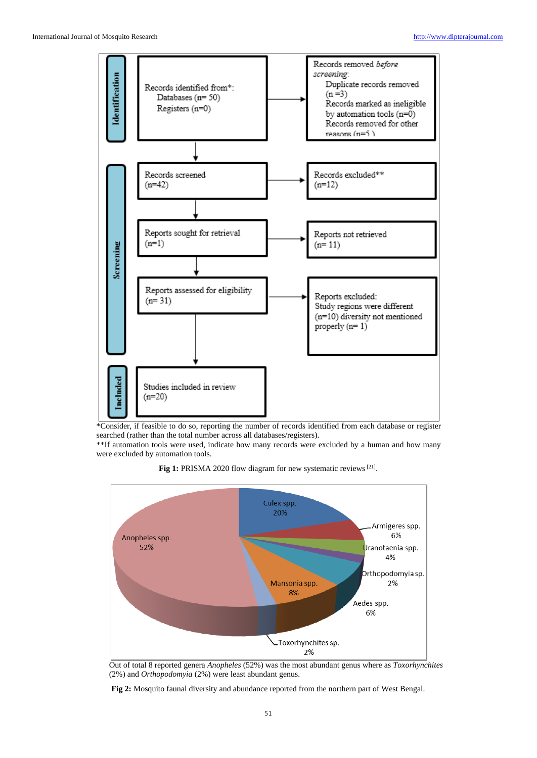

\*Consider, if feasible to do so, reporting the number of records identified from each database or register searched (rather than the total number across all databases/registers).

\*\*If automation tools were used, indicate how many records were excluded by a human and how many were excluded by automation tools.

Fig 1: PRISMA 2020 flow diagram for new systematic reviews<sup>[21]</sup>.



Out of total 8 reported genera *Anopheles* (52%) was the most abundant genus where as *Toxorhynchites*  (2%) and *Orthopodomyia* (2%) were least abundant genus.

**Fig 2:** Mosquito faunal diversity and abundance reported from the northern part of West Bengal.